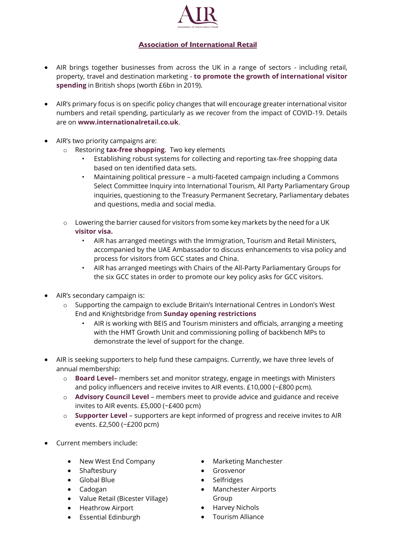

## **Association of International Retail**

- AIR brings together businesses from across the UK in a range of sectors including retail, property, travel and destination marketing - **to promote the growth of international visitor spending** in British shops (worth £6bn in 2019).
- AIR's primary focus is on specific policy changes that will encourage greater international visitor numbers and retail spending, particularly as we recover from the impact of COVID-19. Details are on **[www.internationalretail.co.uk](http://www.internationalretail.co.uk/)**.
- AIR's two priority campaigns are:
	- o Restoring **tax-free shopping**. Two key elements
		- Establishing robust systems for collecting and reporting tax-free shopping data based on ten identified data sets.
		- Maintaining political pressure a multi-faceted campaign including a Commons Select Committee Inquiry into International Tourism, All Party Parliamentary Group inquiries, questioning to the Treasury Permanent Secretary, Parliamentary debates and questions, media and social media.
	- $\circ$  Lowering the barrier caused for visitors from some key markets by the need for a UK **visitor visa.**
		- AIR has arranged meetings with the Immigration, Tourism and Retail Ministers, accompanied by the UAE Ambassador to discuss enhancements to visa policy and process for visitors from GCC states and China.
		- AIR has arranged meetings with Chairs of the All-Party Parliamentary Groups for the six GCC states in order to promote our key policy asks for GCC visitors.
- AIR's secondary campaign is:
	- o Supporting the campaign to exclude Britain's International Centres in London's West End and Knightsbridge from **Sunday opening restrictions**
		- AIR is working with BEIS and Tourism ministers and officials, arranging a meeting with the HMT Growth Unit and commissioning polling of backbench MPs to demonstrate the level of support for the change.
- AIR is seeking supporters to help fund these campaigns. Currently, we have three levels of annual membership:
	- o **Board Level** members set and monitor strategy, engage in meetings with Ministers and policy influencers and receive invites to AIR events. £10,000 (~£800 pcm).
	- o **Advisory Council Level** members meet to provide advice and guidance and receive invites to AIR events. £5,000 (~£400 pcm)
	- o **Supporter Level** supporters are kept informed of progress and receive invites to AIR events. £2,500 (~£200 pcm)
- Current members include:
	- New West End Company
	- Shaftesbury
	- Global Blue
	- Cadogan
	- Value Retail (Bicester Village)
	- Heathrow Airport
	- Essential Edinburgh
- Marketing Manchester
- Grosvenor
- Selfridges
- Manchester Airports Group
- Harvey Nichols
- Tourism Alliance